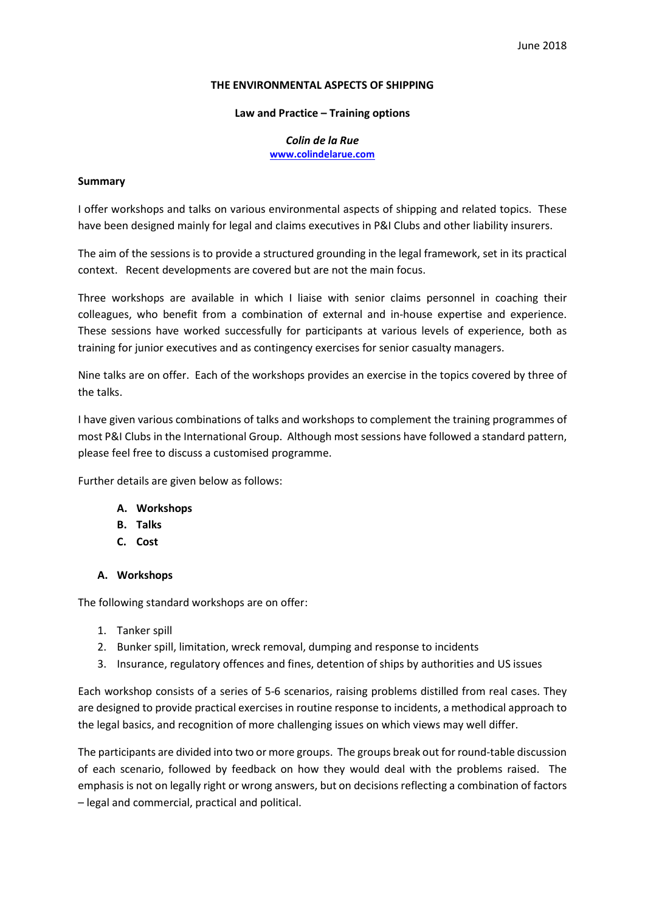#### THE ENVIRONMENTAL ASPECTS OF SHIPPING

#### Law and Practice – Training options

Colin de la Rue www.colindelarue.com

#### Summary

I offer workshops and talks on various environmental aspects of shipping and related topics. These have been designed mainly for legal and claims executives in P&I Clubs and other liability insurers.

The aim of the sessions is to provide a structured grounding in the legal framework, set in its practical context. Recent developments are covered but are not the main focus.

Three workshops are available in which I liaise with senior claims personnel in coaching their colleagues, who benefit from a combination of external and in-house expertise and experience. These sessions have worked successfully for participants at various levels of experience, both as training for junior executives and as contingency exercises for senior casualty managers.

Nine talks are on offer. Each of the workshops provides an exercise in the topics covered by three of the talks.

I have given various combinations of talks and workshops to complement the training programmes of most P&I Clubs in the International Group. Although most sessions have followed a standard pattern, please feel free to discuss a customised programme.

Further details are given below as follows:

- A. Workshops
- B. Talks
- C. Cost

#### A. Workshops

The following standard workshops are on offer:

- 1. Tanker spill
- 2. Bunker spill, limitation, wreck removal, dumping and response to incidents
- 3. Insurance, regulatory offences and fines, detention of ships by authorities and US issues

Each workshop consists of a series of 5-6 scenarios, raising problems distilled from real cases. They are designed to provide practical exercises in routine response to incidents, a methodical approach to the legal basics, and recognition of more challenging issues on which views may well differ.

The participants are divided into two or more groups. The groups break out for round-table discussion of each scenario, followed by feedback on how they would deal with the problems raised. The emphasis is not on legally right or wrong answers, but on decisions reflecting a combination of factors – legal and commercial, practical and political.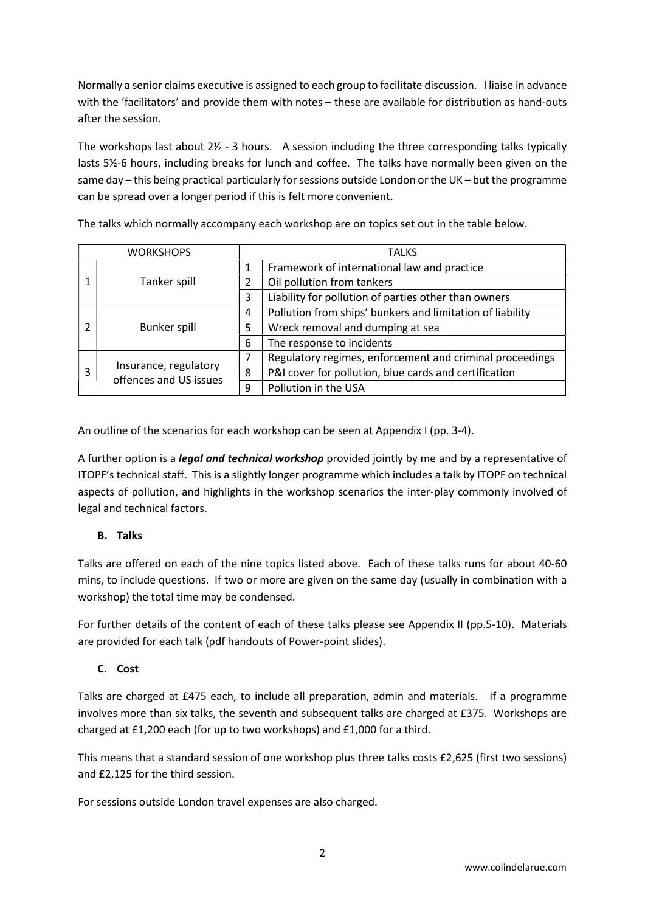Normally a senior claims executive is assigned to each group to facilitate discussion. I liaise in advance with the 'facilitators' and provide them with notes – these are available for distribution as hand-outs after the session.

The workshops last about  $2\frac{1}{2}$  - 3 hours. A session including the three corresponding talks typically lasts 5½-6 hours, including breaks for lunch and coffee. The talks have normally been given on the same day – this being practical particularly for sessions outside London or the UK – but the programme can be spread over a longer period if this is felt more convenient.

| <b>WORKSHOPS</b> |                                                 |   | <b>TALKS</b>                                              |  |
|------------------|-------------------------------------------------|---|-----------------------------------------------------------|--|
|                  | Tanker spill                                    |   | Framework of international law and practice               |  |
|                  |                                                 | 2 | Oil pollution from tankers                                |  |
|                  |                                                 | 3 | Liability for pollution of parties other than owners      |  |
|                  | Bunker spill                                    | 4 | Pollution from ships' bunkers and limitation of liability |  |
|                  |                                                 | 5 | Wreck removal and dumping at sea                          |  |
|                  |                                                 | 6 | The response to incidents                                 |  |
| 3                | Insurance, regulatory<br>offences and US issues | 7 | Regulatory regimes, enforcement and criminal proceedings  |  |
|                  |                                                 | 8 | P&I cover for pollution, blue cards and certification     |  |
|                  |                                                 | 9 | Pollution in the USA                                      |  |

The talks which normally accompany each workshop are on topics set out in the table below.

An outline of the scenarios for each workshop can be seen at Appendix I (pp. 3-4).

A further option is a *legal and technical workshop* provided jointly by me and by a representative of ITOPF's technical staff. This is a slightly longer programme which includes a talk by ITOPF on technical aspects of pollution, and highlights in the workshop scenarios the inter-play commonly involved of legal and technical factors.

# B. Talks

Talks are offered on each of the nine topics listed above. Each of these talks runs for about 40-60 mins, to include questions. If two or more are given on the same day (usually in combination with a workshop) the total time may be condensed.

For further details of the content of each of these talks please see Appendix II (pp.5-10). Materials are provided for each talk (pdf handouts of Power-point slides).

# C. Cost

Talks are charged at £475 each, to include all preparation, admin and materials. If a programme involves more than six talks, the seventh and subsequent talks are charged at £375. Workshops are charged at £1,200 each (for up to two workshops) and £1,000 for a third.

This means that a standard session of one workshop plus three talks costs £2,625 (first two sessions) and £2,125 for the third session.

For sessions outside London travel expenses are also charged.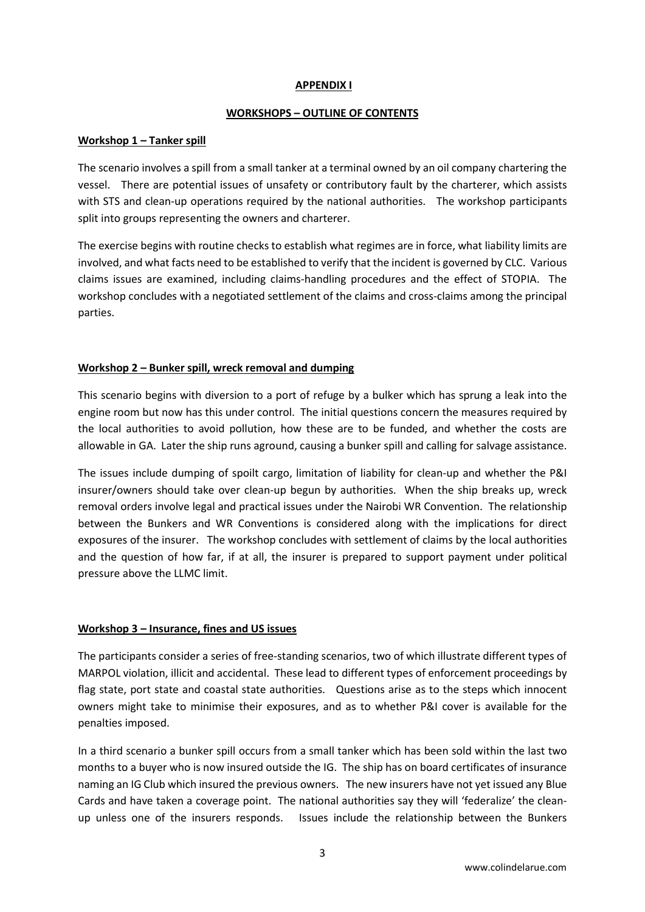#### APPENDIX I

#### WORKSHOPS – OUTLINE OF CONTENTS

### Workshop 1 – Tanker spill

The scenario involves a spill from a small tanker at a terminal owned by an oil company chartering the vessel. There are potential issues of unsafety or contributory fault by the charterer, which assists with STS and clean-up operations required by the national authorities. The workshop participants split into groups representing the owners and charterer.

The exercise begins with routine checks to establish what regimes are in force, what liability limits are involved, and what facts need to be established to verify that the incident is governed by CLC. Various claims issues are examined, including claims-handling procedures and the effect of STOPIA. The workshop concludes with a negotiated settlement of the claims and cross-claims among the principal parties.

# Workshop 2 – Bunker spill, wreck removal and dumping

This scenario begins with diversion to a port of refuge by a bulker which has sprung a leak into the engine room but now has this under control. The initial questions concern the measures required by the local authorities to avoid pollution, how these are to be funded, and whether the costs are allowable in GA. Later the ship runs aground, causing a bunker spill and calling for salvage assistance.

The issues include dumping of spoilt cargo, limitation of liability for clean-up and whether the P&I insurer/owners should take over clean-up begun by authorities. When the ship breaks up, wreck removal orders involve legal and practical issues under the Nairobi WR Convention. The relationship between the Bunkers and WR Conventions is considered along with the implications for direct exposures of the insurer. The workshop concludes with settlement of claims by the local authorities and the question of how far, if at all, the insurer is prepared to support payment under political pressure above the LLMC limit.

#### Workshop 3 – Insurance, fines and US issues

The participants consider a series of free-standing scenarios, two of which illustrate different types of MARPOL violation, illicit and accidental. These lead to different types of enforcement proceedings by flag state, port state and coastal state authorities. Questions arise as to the steps which innocent owners might take to minimise their exposures, and as to whether P&I cover is available for the penalties imposed.

In a third scenario a bunker spill occurs from a small tanker which has been sold within the last two months to a buyer who is now insured outside the IG. The ship has on board certificates of insurance naming an IG Club which insured the previous owners. The new insurers have not yet issued any Blue Cards and have taken a coverage point. The national authorities say they will 'federalize' the cleanup unless one of the insurers responds. Issues include the relationship between the Bunkers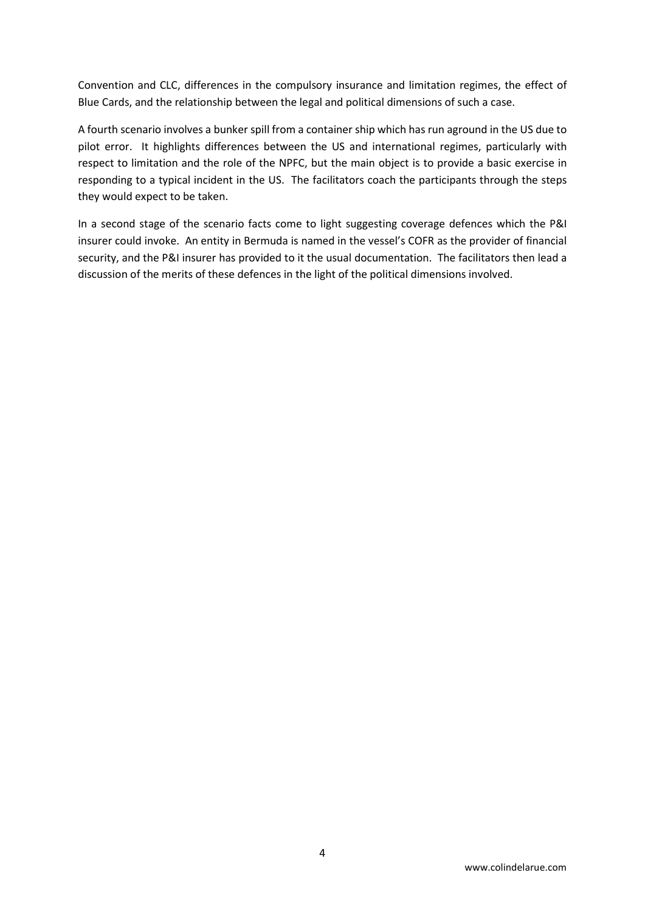Convention and CLC, differences in the compulsory insurance and limitation regimes, the effect of Blue Cards, and the relationship between the legal and political dimensions of such a case.

A fourth scenario involves a bunker spill from a container ship which has run aground in the US due to pilot error. It highlights differences between the US and international regimes, particularly with respect to limitation and the role of the NPFC, but the main object is to provide a basic exercise in responding to a typical incident in the US. The facilitators coach the participants through the steps they would expect to be taken.

In a second stage of the scenario facts come to light suggesting coverage defences which the P&I insurer could invoke. An entity in Bermuda is named in the vessel's COFR as the provider of financial security, and the P&I insurer has provided to it the usual documentation. The facilitators then lead a discussion of the merits of these defences in the light of the political dimensions involved.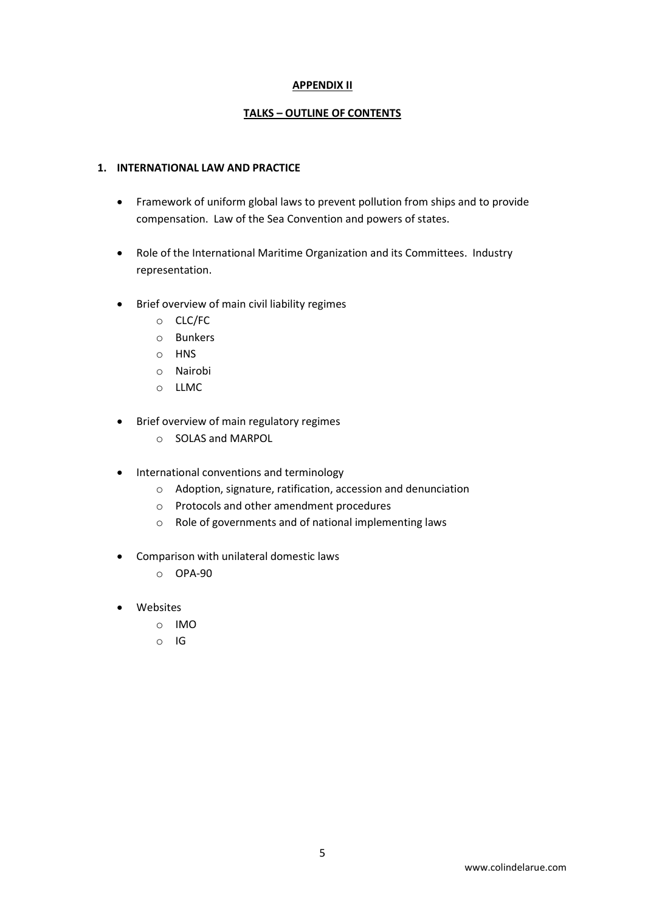### APPENDIX II

### TALKS – OUTLINE OF CONTENTS

### 1. INTERNATIONAL LAW AND PRACTICE

- Framework of uniform global laws to prevent pollution from ships and to provide compensation. Law of the Sea Convention and powers of states.
- Role of the International Maritime Organization and its Committees. Industry representation.
- Brief overview of main civil liability regimes
	- o CLC/FC
	- o Bunkers
	- o HNS
	- o Nairobi
	- o LLMC
- Brief overview of main regulatory regimes
	- o SOLAS and MARPOL
- International conventions and terminology
	- o Adoption, signature, ratification, accession and denunciation
	- o Protocols and other amendment procedures
	- o Role of governments and of national implementing laws
- Comparison with unilateral domestic laws
	- o OPA-90
- Websites
	- o IMO
	- o IG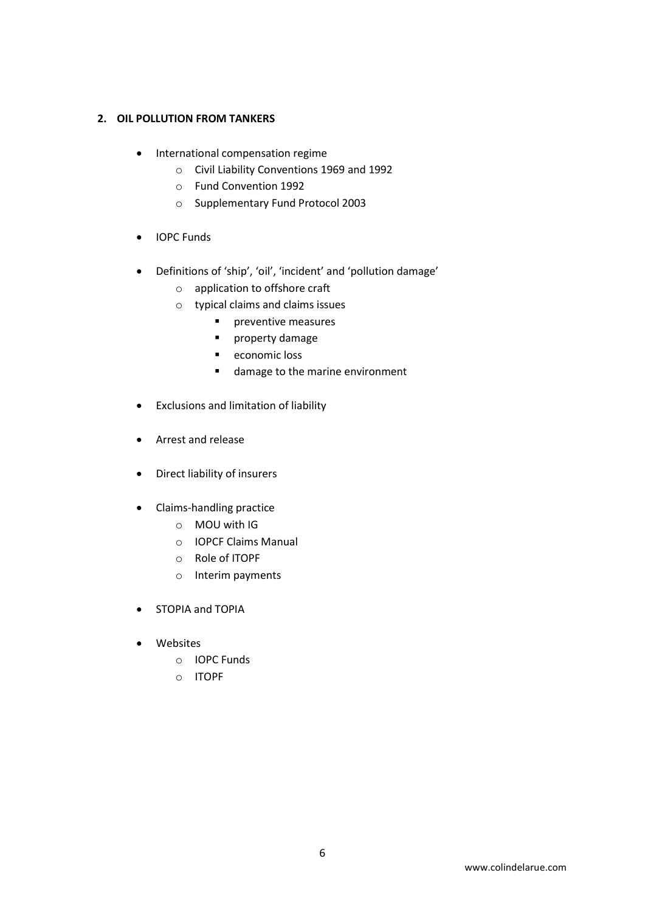### 2. OIL POLLUTION FROM TANKERS

- International compensation regime
	- o Civil Liability Conventions 1969 and 1992
	- o Fund Convention 1992
	- o Supplementary Fund Protocol 2003
- IOPC Funds
- Definitions of 'ship', 'oil', 'incident' and 'pollution damage'
	- o application to offshore craft
	- o typical claims and claims issues
		- **Paragementive measures**
		- **P** property damage
		- **economic loss**
		- **damage to the marine environment**
- Exclusions and limitation of liability
- Arrest and release
- Direct liability of insurers
- Claims-handling practice
	- o MOU with IG
	- o IOPCF Claims Manual
	- o Role of ITOPF
	- o Interim payments
- STOPIA and TOPIA
- Websites
	- o IOPC Funds
	- o ITOPF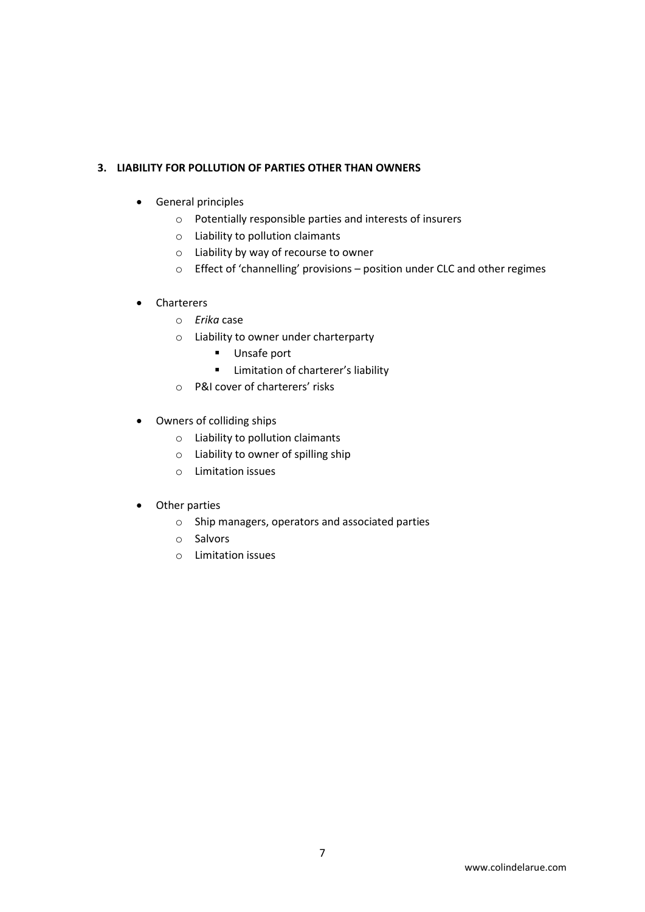# 3. LIABILITY FOR POLLUTION OF PARTIES OTHER THAN OWNERS

- General principles
	- o Potentially responsible parties and interests of insurers
	- o Liability to pollution claimants
	- o Liability by way of recourse to owner
	- o Effect of 'channelling' provisions position under CLC and other regimes

# • Charterers

- o Erika case
- o Liability to owner under charterparty
	- **Unsafe port**
	- **E** Limitation of charterer's liability
- o P&I cover of charterers' risks
- Owners of colliding ships
	- o Liability to pollution claimants
	- o Liability to owner of spilling ship
	- o Limitation issues
- Other parties
	- o Ship managers, operators and associated parties
	- o Salvors
	- o Limitation issues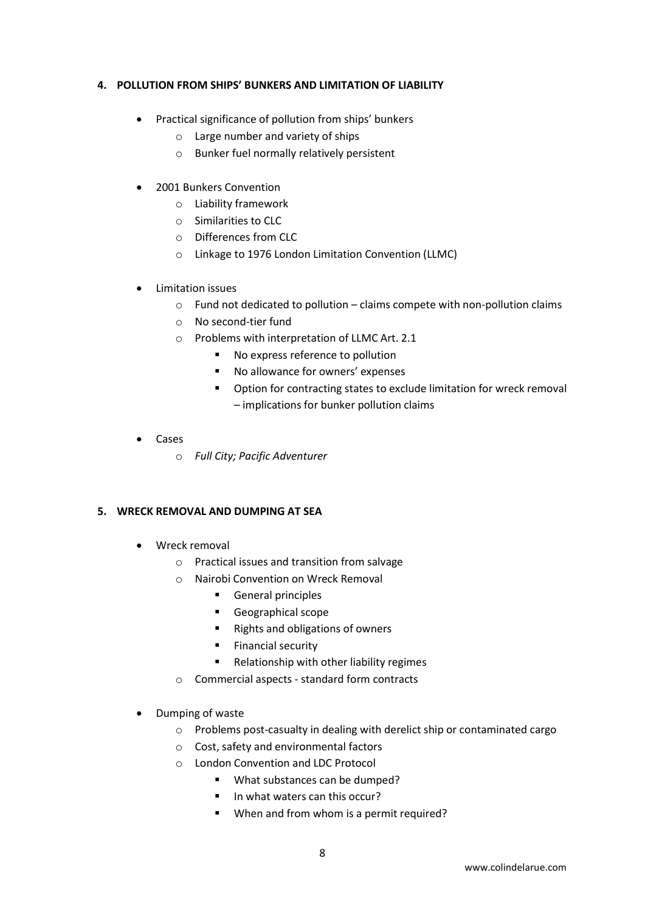### 4. POLLUTION FROM SHIPS' BUNKERS AND LIMITATION OF LIABILITY

- Practical significance of pollution from ships' bunkers
	- o Large number and variety of ships
	- o Bunker fuel normally relatively persistent
- 2001 Bunkers Convention
	- o Liability framework
	- o Similarities to CLC
	- o Differences from CLC
	- o Linkage to 1976 London Limitation Convention (LLMC)
- Limitation issues
	- o Fund not dedicated to pollution claims compete with non-pollution claims
	- o No second-tier fund
	- o Problems with interpretation of LLMC Art. 2.1
		- No express reference to pollution
		- No allowance for owners' expenses
		- **•** Option for contracting states to exclude limitation for wreck removal – implications for bunker pollution claims
- Cases
	- o Full City; Pacific Adventurer

#### 5. WRECK REMOVAL AND DUMPING AT SEA

- Wreck removal
	- o Practical issues and transition from salvage
	- o Nairobi Convention on Wreck Removal
		- **General principles**
		- **Geographical scope**
		- Rights and obligations of owners
		- **Financial security**
		- **Relationship with other liability regimes**
	- o Commercial aspects standard form contracts
- Dumping of waste
	- o Problems post-casualty in dealing with derelict ship or contaminated cargo
	- o Cost, safety and environmental factors
	- o London Convention and LDC Protocol
		- What substances can be dumped?
		- $\blacksquare$  In what waters can this occur?
		- When and from whom is a permit required?

8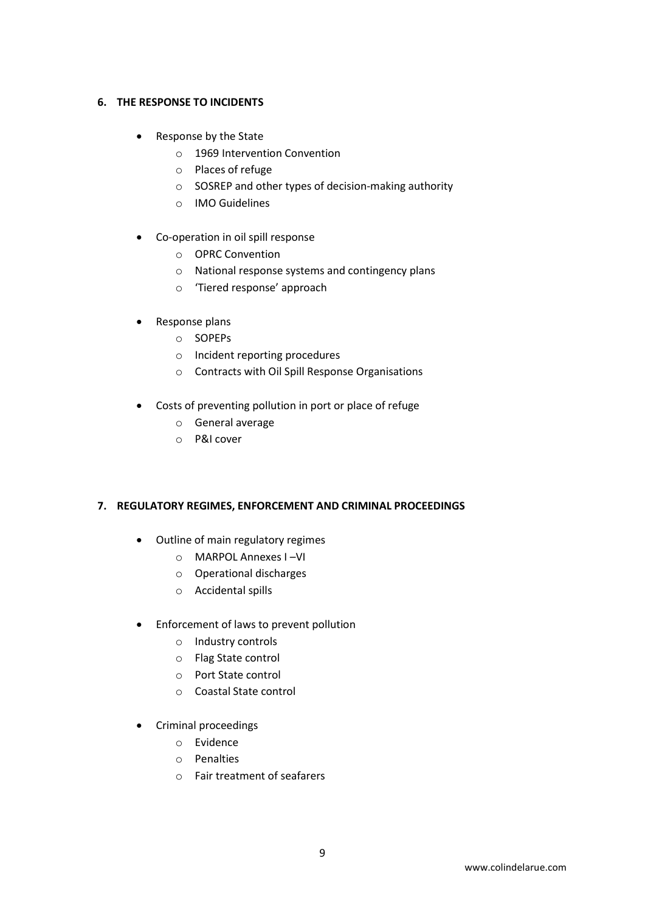# 6. THE RESPONSE TO INCIDENTS

- Response by the State
	- o 1969 Intervention Convention
	- o Places of refuge
	- o SOSREP and other types of decision-making authority
	- o IMO Guidelines
- Co-operation in oil spill response
	- o OPRC Convention
	- o National response systems and contingency plans
	- o 'Tiered response' approach
- Response plans
	- o SOPEPs
	- o Incident reporting procedures
	- o Contracts with Oil Spill Response Organisations
- Costs of preventing pollution in port or place of refuge
	- o General average
	- o P&I cover

#### 7. REGULATORY REGIMES, ENFORCEMENT AND CRIMINAL PROCEEDINGS

- Outline of main regulatory regimes
	- o MARPOL Annexes I –VI
	- o Operational discharges
	- o Accidental spills
- Enforcement of laws to prevent pollution
	- o Industry controls
	- o Flag State control
	- o Port State control
	- o Coastal State control
- Criminal proceedings
	- o Evidence
	- o Penalties
	- o Fair treatment of seafarers